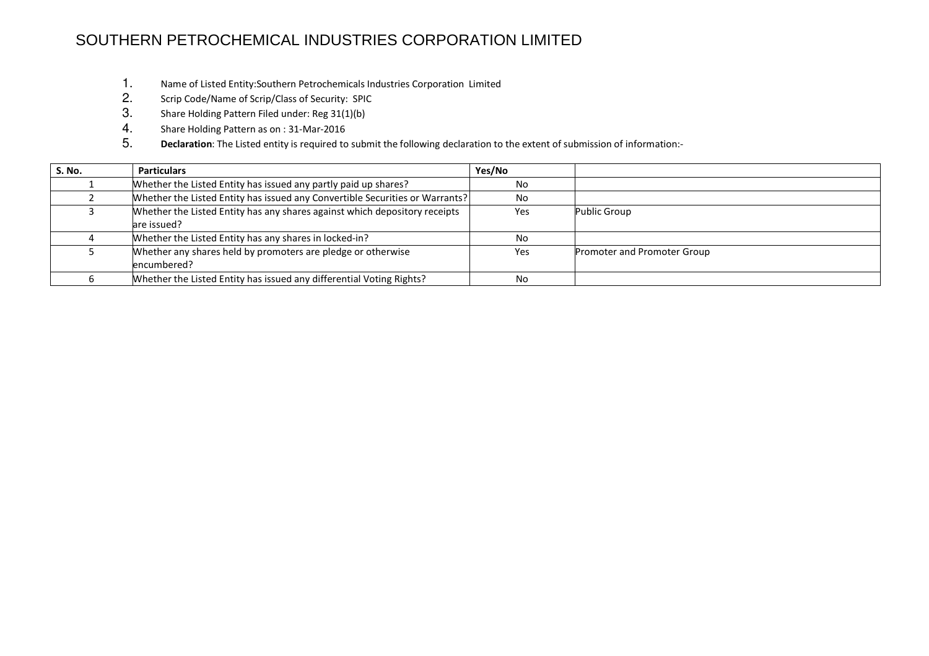## SOUTHERN PETROCHEMICAL INDUSTRIES CORPORATION LIMITED

- 1. Name of Listed Entity:Southern Petrochemicals Industries Corporation Limited
- 2. Scrip Code/Name of Scrip/Class of Security: SPIC
- 3. Share Holding Pattern Filed under: Reg 31(1)(b)
- 4. Share Holding Pattern as on : 31-Mar-2016
- 5. Declaration: The Listed entity is required to submit the following declaration to the extent of submission of information:-

| S. No. | <b>Particulars</b>                                                           | Yes/No |                             |
|--------|------------------------------------------------------------------------------|--------|-----------------------------|
|        | Whether the Listed Entity has issued any partly paid up shares?              | No     |                             |
|        | Whether the Listed Entity has issued any Convertible Securities or Warrants? | No     |                             |
|        | Whether the Listed Entity has any shares against which depository receipts   | Yes    | Public Group                |
|        | lare issued?                                                                 |        |                             |
|        | Whether the Listed Entity has any shares in locked-in?                       | No.    |                             |
|        | Whether any shares held by promoters are pledge or otherwise                 | Yes    | Promoter and Promoter Group |
|        | encumbered?                                                                  |        |                             |
|        | Whether the Listed Entity has issued any differential Voting Rights?         | No     |                             |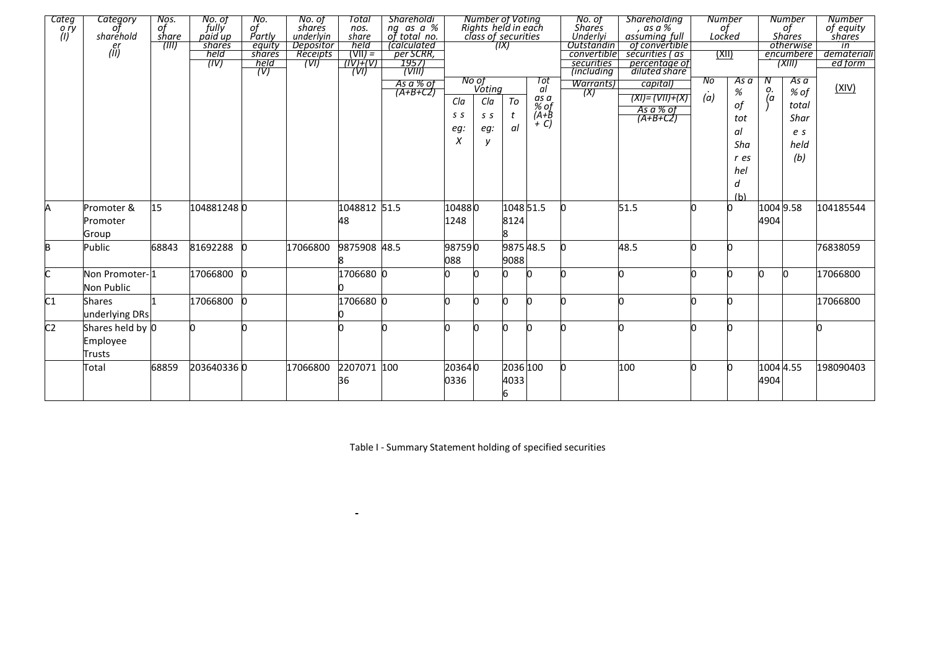| Categ<br>o ry  | <b>Category</b>                        | Nos.<br>of<br>share | No. of<br>fully<br>paid up | No.<br>of<br>Partly | No. of<br>shares       | Total<br>nos.      | <b>Shareholdi</b><br>ng as a %<br>of total no. |                        | Number of Voting<br>Rights held in each<br>class of securities |                       |                                            | No. of<br>Shares<br>Underlyi          | <b>Shareholding</b><br>as a %<br>assuming full              | of<br>Locked | Number                                         |                   | <b>Number</b><br>of<br>Shares                       | Number<br>of equity<br>shares |
|----------------|----------------------------------------|---------------------|----------------------------|---------------------|------------------------|--------------------|------------------------------------------------|------------------------|----------------------------------------------------------------|-----------------------|--------------------------------------------|---------------------------------------|-------------------------------------------------------------|--------------|------------------------------------------------|-------------------|-----------------------------------------------------|-------------------------------|
| (1)            | sharéhold<br>er                        | 7111)               | shares                     | equity              | underlyin<br>Depositor | share<br>held      | <i>calculated</i>                              |                        |                                                                | (IX)                  |                                            | Outstandin                            | of convertible                                              |              |                                                |                   | otherwise                                           | in                            |
|                | $(\tilde{II})$                         |                     | held                       | shares              | Receipts               | $(VIII) =$         | per SCRR,                                      |                        |                                                                |                       |                                            | convertible                           | securities (as                                              | (XII)        |                                                |                   | encumbere                                           | demateriali                   |
|                |                                        |                     | (IV)                       | held                | (VI)                   | $(IV) + (V)$       | 1957<br>(VIII)                                 |                        |                                                                |                       |                                            | securities                            | percentage of<br>diluted share                              |              |                                                |                   | (XIII)                                              | ed form                       |
|                |                                        |                     |                            | (V)                 |                        | (VI)               | As a % of<br>$(A+B+CZ)$                        | Cla<br>S S<br>eg:<br>X | No of<br>Voting<br>Cla<br>S S<br>eg:<br>v                      | To<br>t<br>αI         | Tot<br>al<br>as a<br>% of<br>(A+B<br>$+ C$ | <i>(including</i><br>Warrants)<br>(X) | capital)<br>$(XI) = (VII) + (X)$<br>As a % of<br>$(A+B+C2)$ | No<br>(a)    | As a<br>$\%$<br>оf<br>tot<br>al<br>Sha<br>r es | N<br>о.<br>(а     | As a<br>% of<br>total<br>Shar<br>e s<br>held<br>(b) | (XIV)                         |
|                |                                        |                     |                            |                     |                        |                    |                                                |                        |                                                                |                       |                                            |                                       |                                                             |              | hel<br>d<br>(h)                                |                   |                                                     |                               |
| Α              | Promoter &<br>Promoter<br>Group        | 15                  | 1048812480                 |                     |                        | 1048812 51.5<br>48 |                                                | 104880<br>1248         |                                                                | 8124<br>R             | 104851.5                                   | O.                                    | 51.5                                                        |              |                                                | 1004 9.58<br>4904 |                                                     | 104185544                     |
| B              | Public                                 | 68843               | 81692288                   |                     | 17066800               | 9875908 48.5       |                                                | 987590<br>088          |                                                                | 9088                  | 987548.5                                   | n                                     | 48.5                                                        |              |                                                |                   |                                                     | 76838059                      |
| C              | Non Promoter-11<br>Non Public          |                     | 17066800                   |                     |                        | 1706680 0          |                                                |                        |                                                                |                       |                                            | n                                     |                                                             |              |                                                | n                 |                                                     | 17066800                      |
| C1             | <b>Shares</b><br>underlying DRs        |                     | 17066800                   |                     |                        | 1706680 0          |                                                |                        |                                                                | n                     |                                            |                                       |                                                             |              |                                                |                   |                                                     | 17066800                      |
| C <sub>2</sub> | Shares held by 0<br>Employee<br>Trusts |                     |                            |                     |                        |                    |                                                |                        |                                                                |                       |                                            |                                       |                                                             |              |                                                |                   |                                                     |                               |
|                | Total                                  | 68859               | 2036403360                 |                     | 17066800               | 2207071<br>36      | 100                                            | 203640<br>0336         |                                                                | 2036 100<br>4033<br>6 |                                            | n                                     | 100                                                         |              |                                                | 1004 4.55<br>4904 |                                                     | 198090403                     |

Table I - Summary Statement holding of specified securities

 $\sim$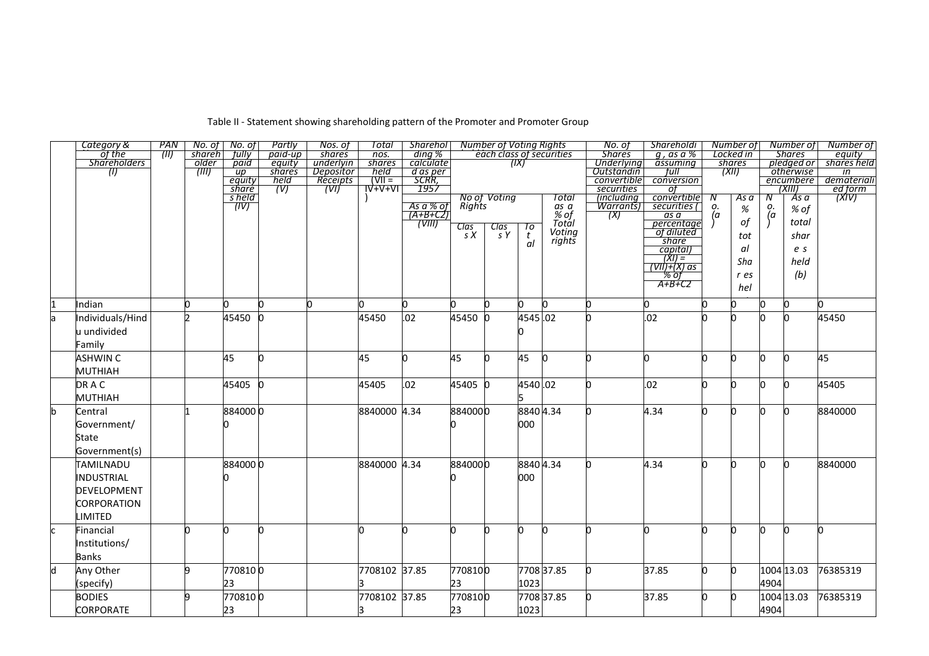|    | Category &          | PAN   |        | No. of No. of             | Partly      | Nos. of          | Total            | <b>Sharehol</b>          |                   | <b>Number of Voting Rights</b> |                     |                          | No. of                           | Shareholdi                                                                                                                                                                                                                                                                                                                                                                                                        |    | Number of       |               | Number of                            | Number of               |
|----|---------------------|-------|--------|---------------------------|-------------|------------------|------------------|--------------------------|-------------------|--------------------------------|---------------------|--------------------------|----------------------------------|-------------------------------------------------------------------------------------------------------------------------------------------------------------------------------------------------------------------------------------------------------------------------------------------------------------------------------------------------------------------------------------------------------------------|----|-----------------|---------------|--------------------------------------|-------------------------|
|    | of the              | (III) | shareh | fully <sup>-</sup>        | paid-up     | shares           | nos.             | ding %                   |                   |                                |                     | each class of securities | <b>Shares</b>                    | $g$ , as a %                                                                                                                                                                                                                                                                                                                                                                                                      |    | Locked in       |               | <b>Shares</b>                        | equity                  |
|    | <b>Shareholders</b> |       | older  | paid                      | equity      | underlyin        | shares           | calculate                |                   |                                | (IX)                |                          | <b>Underlying</b>                | assuming                                                                                                                                                                                                                                                                                                                                                                                                          |    | shares<br>(XII) |               | pledged or                           | shares held             |
|    | $\langle 0 \rangle$ |       | (III)  | $\overline{up}$<br>equity | shares      | Depositor        | held<br>$(VII =$ | <u>d as per</u><br>SCRR, |                   |                                |                     |                          | <b>Outstandin</b><br>convertible | tull<br>conversion                                                                                                                                                                                                                                                                                                                                                                                                |    |                 |               | <i><b>otherwise</b></i><br>encumbere | in<br>demateriali       |
|    |                     |       |        | share                     | held<br>(V) | Receipts<br>(VI) | <b>IV+V+VI</b>   | 1957                     |                   |                                |                     |                          | securities                       | οf                                                                                                                                                                                                                                                                                                                                                                                                                |    |                 |               | (XIII)                               |                         |
|    |                     |       |        | s held                    |             |                  |                  |                          |                   | No of Voting                   |                     | Total                    | (including                       | convertible                                                                                                                                                                                                                                                                                                                                                                                                       | Ν  | As a            | Ν             | As a                                 | <u>ed form</u><br>(XIV) |
|    |                     |       |        | (IV)                      |             |                  |                  |                          | Rights            |                                |                     |                          | Warrants)                        | securities (                                                                                                                                                                                                                                                                                                                                                                                                      | о. |                 |               |                                      |                         |
|    |                     |       |        |                           |             |                  |                  | As a % of<br>(A+B+C2)    |                   |                                |                     | as a<br>% of             | (X)                              | as a                                                                                                                                                                                                                                                                                                                                                                                                              | (a | %               | $\frac{o}{a}$ | % of                                 |                         |
|    |                     |       |        |                           |             |                  |                  | (VIII)                   |                   |                                |                     | Totál                    |                                  | percentage                                                                                                                                                                                                                                                                                                                                                                                                        |    | of              |               | total                                |                         |
|    |                     |       |        |                           |             |                  |                  |                          | $\frac{Class}{S}$ | $\frac{Class}{S}$              | $\frac{7\sigma}{t}$ | Voting                   |                                  | of diluted                                                                                                                                                                                                                                                                                                                                                                                                        |    | tot             |               | shar                                 |                         |
|    |                     |       |        |                           |             |                  |                  |                          |                   |                                | al                  | rights                   |                                  | share                                                                                                                                                                                                                                                                                                                                                                                                             |    | αI              |               |                                      |                         |
|    |                     |       |        |                           |             |                  |                  |                          |                   |                                |                     |                          |                                  | capital)                                                                                                                                                                                                                                                                                                                                                                                                          |    |                 |               | e s                                  |                         |
|    |                     |       |        |                           |             |                  |                  |                          |                   |                                |                     |                          |                                  | $\frac{f(x)}{f(x)} = \frac{f(x)}{f(x)} = \frac{f(x)}{f(x)} = \frac{f(x)}{f(x)} = \frac{f(x)}{f(x)} = \frac{f(x)}{f(x)} = \frac{f(x)}{f(x)} = \frac{f(x)}{f(x)} = \frac{f(x)}{f(x)} = \frac{f(x)}{f(x)} = \frac{f(x)}{f(x)} = \frac{f(x)}{f(x)} = \frac{f(x)}{f(x)} = \frac{f(x)}{f(x)} = \frac{f(x)}{f(x)} = \frac{f(x)}{f(x)} = \frac{f(x)}{f(x)} = \frac{f(x)}{f(x)} = \frac{f(x)}{f(x)} = \frac{f(x)}{f(x)} =$ |    | Sha             |               | held                                 |                         |
|    |                     |       |        |                           |             |                  |                  |                          |                   |                                |                     |                          |                                  |                                                                                                                                                                                                                                                                                                                                                                                                                   |    | r es            |               | (b)                                  |                         |
|    |                     |       |        |                           |             |                  |                  |                          |                   |                                |                     |                          |                                  | $A+B+C2$                                                                                                                                                                                                                                                                                                                                                                                                          |    |                 |               |                                      |                         |
|    |                     |       |        |                           |             |                  |                  |                          |                   |                                |                     |                          |                                  |                                                                                                                                                                                                                                                                                                                                                                                                                   |    | hel             |               |                                      |                         |
|    | Indian              |       |        |                           | 'n          |                  |                  |                          |                   |                                |                     |                          | n                                |                                                                                                                                                                                                                                                                                                                                                                                                                   |    |                 |               |                                      |                         |
| la | Individuals/Hind    |       |        | 45450                     |             |                  | 45450            | .02                      | 45450             |                                | 4545.02             |                          | O.                               | .02                                                                                                                                                                                                                                                                                                                                                                                                               |    |                 |               |                                      | 45450                   |
|    | u undivided         |       |        |                           |             |                  |                  |                          |                   |                                |                     |                          |                                  |                                                                                                                                                                                                                                                                                                                                                                                                                   |    |                 |               |                                      |                         |
|    |                     |       |        |                           |             |                  |                  |                          |                   |                                |                     |                          |                                  |                                                                                                                                                                                                                                                                                                                                                                                                                   |    |                 |               |                                      |                         |
|    | Family              |       |        |                           |             |                  |                  |                          |                   |                                |                     |                          |                                  |                                                                                                                                                                                                                                                                                                                                                                                                                   |    |                 |               |                                      |                         |
|    | <b>ASHWIN C</b>     |       |        | 45                        | n           |                  | 45               |                          | 45                |                                | 45                  |                          | n                                | n                                                                                                                                                                                                                                                                                                                                                                                                                 | n  |                 | n             |                                      | 45                      |
|    | MUTHIAH             |       |        |                           |             |                  |                  |                          |                   |                                |                     |                          |                                  |                                                                                                                                                                                                                                                                                                                                                                                                                   |    |                 |               |                                      |                         |
|    | DRAC                |       |        | 45405 0                   |             |                  | 45405            | .02                      | 45405 0           |                                | 4540.02             |                          | n.                               | .02                                                                                                                                                                                                                                                                                                                                                                                                               | O. | n.              | O.            |                                      | 45405                   |
|    | <b>MUTHIAH</b>      |       |        |                           |             |                  |                  |                          |                   |                                |                     |                          |                                  |                                                                                                                                                                                                                                                                                                                                                                                                                   |    |                 |               |                                      |                         |
| b  | Central             |       |        | 8840000                   |             |                  | 8840000 4.34     |                          | 8840000           |                                | 8840 4.34           |                          |                                  | 4.34                                                                                                                                                                                                                                                                                                                                                                                                              | n  | n               | n             |                                      | 8840000                 |
|    | Government/         |       |        |                           |             |                  |                  |                          |                   |                                | 000                 |                          |                                  |                                                                                                                                                                                                                                                                                                                                                                                                                   |    |                 |               |                                      |                         |
|    |                     |       |        |                           |             |                  |                  |                          |                   |                                |                     |                          |                                  |                                                                                                                                                                                                                                                                                                                                                                                                                   |    |                 |               |                                      |                         |
|    | State               |       |        |                           |             |                  |                  |                          |                   |                                |                     |                          |                                  |                                                                                                                                                                                                                                                                                                                                                                                                                   |    |                 |               |                                      |                         |
|    | Government(s)       |       |        |                           |             |                  |                  |                          |                   |                                |                     |                          |                                  |                                                                                                                                                                                                                                                                                                                                                                                                                   |    |                 |               |                                      |                         |
|    | TAMILNADU           |       |        | 8840000                   |             |                  | 8840000 4.34     |                          | 8840000           |                                | 88404.34            |                          |                                  | 4.34                                                                                                                                                                                                                                                                                                                                                                                                              | h  | n               | h             |                                      | 8840000                 |
|    | INDUSTRIAL          |       |        |                           |             |                  |                  |                          |                   |                                | 000                 |                          |                                  |                                                                                                                                                                                                                                                                                                                                                                                                                   |    |                 |               |                                      |                         |
|    | <b>DEVELOPMENT</b>  |       |        |                           |             |                  |                  |                          |                   |                                |                     |                          |                                  |                                                                                                                                                                                                                                                                                                                                                                                                                   |    |                 |               |                                      |                         |
|    | CORPORATION         |       |        |                           |             |                  |                  |                          |                   |                                |                     |                          |                                  |                                                                                                                                                                                                                                                                                                                                                                                                                   |    |                 |               |                                      |                         |
|    | LIMITED             |       |        |                           |             |                  |                  |                          |                   |                                |                     |                          |                                  |                                                                                                                                                                                                                                                                                                                                                                                                                   |    |                 |               |                                      |                         |
|    |                     |       | U      |                           | h           |                  |                  |                          | h                 |                                |                     |                          | 'n                               |                                                                                                                                                                                                                                                                                                                                                                                                                   | h  |                 | h             |                                      |                         |
|    | Financial           |       |        |                           |             |                  |                  |                          |                   |                                |                     |                          |                                  |                                                                                                                                                                                                                                                                                                                                                                                                                   |    |                 |               |                                      | n.                      |
|    | Institutions/       |       |        |                           |             |                  |                  |                          |                   |                                |                     |                          |                                  |                                                                                                                                                                                                                                                                                                                                                                                                                   |    |                 |               |                                      |                         |
|    | <b>Banks</b>        |       |        |                           |             |                  |                  |                          |                   |                                |                     |                          |                                  |                                                                                                                                                                                                                                                                                                                                                                                                                   |    |                 |               |                                      |                         |
| d  | Any Other           |       | q      | 7708100                   |             |                  | 7708102 37.85    |                          | 7708100           |                                |                     | 7708 37.85               | 0                                | 37.85                                                                                                                                                                                                                                                                                                                                                                                                             | O. | n               |               | 1004 13.03                           | 76385319                |
|    | (specify)           |       |        | 23                        |             |                  |                  |                          | 23                |                                | 1023                |                          |                                  |                                                                                                                                                                                                                                                                                                                                                                                                                   |    |                 | 4904          |                                      |                         |
|    | <b>BODIES</b>       |       | Q      | 7708100                   |             |                  | 7708102 37.85    |                          | 7708100           |                                |                     | 7708 37.85               |                                  | 37.85                                                                                                                                                                                                                                                                                                                                                                                                             | n  | n               |               | 1004 13.03                           | 76385319                |
|    | <b>CORPORATE</b>    |       |        | 23                        |             |                  |                  |                          | 23                |                                | 1023                |                          |                                  |                                                                                                                                                                                                                                                                                                                                                                                                                   |    |                 | 4904          |                                      |                         |
|    |                     |       |        |                           |             |                  |                  |                          |                   |                                |                     |                          |                                  |                                                                                                                                                                                                                                                                                                                                                                                                                   |    |                 |               |                                      |                         |

## Table II - Statement showing shareholding pattern of the Promoter and Promoter Group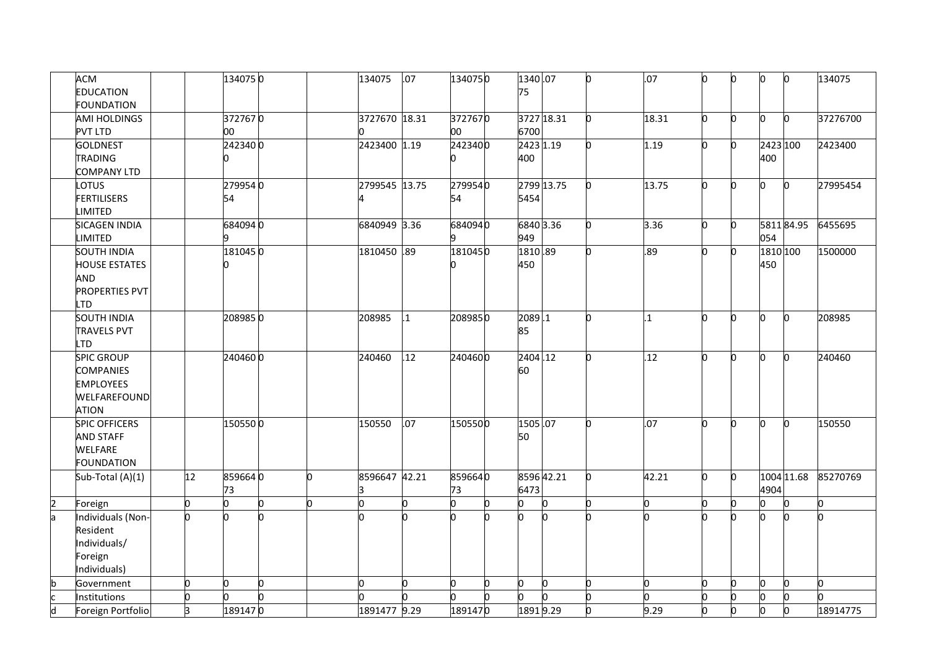|                         | <b>ACM</b><br><b>EDUCATION</b> |    | 1340750 |   |   | 134075        | .07          | 1340750 | 1340.07<br>75 |    |    | .07            |    | 0  | n        | Ю            | 134075   |
|-------------------------|--------------------------------|----|---------|---|---|---------------|--------------|---------|---------------|----|----|----------------|----|----|----------|--------------|----------|
|                         | <b>FOUNDATION</b>              |    |         |   |   |               |              |         |               |    |    |                |    |    |          |              |          |
|                         | AMI HOLDINGS                   |    | 3727670 |   |   | 3727670 18.31 |              | 3727670 | 3727 18.31    |    | n  | 18.31          | l0 | O  | n        | 0            | 37276700 |
|                         | <b>PVT LTD</b>                 |    | 00      |   |   |               |              | 00      | 6700          |    |    |                |    |    |          |              |          |
|                         | <b>GOLDNEST</b>                |    | 2423400 |   |   | 2423400 1.19  |              | 2423400 | 2423 1.19     |    |    | 1.19           | n  | 0  | 2423 100 |              | 2423400  |
|                         | <b>TRADING</b>                 |    |         |   |   |               |              |         | 400           |    |    |                |    |    | 400      |              |          |
|                         | <b>COMPANY LTD</b>             |    |         |   |   |               |              |         |               |    |    |                |    |    |          |              |          |
|                         | LOTUS                          |    | 2799540 |   |   | 2799545 13.75 |              | 2799540 | 2799 13.75    |    |    | 13.75          | n  | O. | n.       | $\mathbf{0}$ | 27995454 |
|                         | <b>FERTILISERS</b>             |    | 54      |   |   |               |              | 54      | 5454          |    |    |                |    |    |          |              |          |
|                         | <b>LIMITED</b>                 |    |         |   |   |               |              |         |               |    |    |                |    |    |          |              |          |
|                         | <b>SICAGEN INDIA</b>           |    | 6840940 |   |   | 6840949 3.36  |              | 6840940 | 6840 3.36     |    |    | 3.36           | h  | O. |          | 581184.95    | 6455695  |
|                         | <b>LIMITED</b>                 |    |         |   |   |               |              |         | 949           |    |    |                |    |    | 054      |              |          |
|                         | <b>SOUTH INDIA</b>             |    | 1810450 |   |   | 1810450 .89   |              | 1810450 | 1810.89       |    |    | .89            | n  | 0  | 1810 100 |              | 1500000  |
|                         | <b>HOUSE ESTATES</b>           |    |         |   |   |               |              |         | 450           |    |    |                |    |    | 450      |              |          |
|                         | AND                            |    |         |   |   |               |              |         |               |    |    |                |    |    |          |              |          |
|                         | <b>PROPERTIES PVT</b>          |    |         |   |   |               |              |         |               |    |    |                |    |    |          |              |          |
|                         | <b>LTD</b>                     |    |         |   |   |               |              |         |               |    |    |                |    |    |          |              |          |
|                         | <b>SOUTH INDIA</b>             |    | 2089850 |   |   | 208985        | $\mathbf{1}$ | 2089850 | 2089.1        |    |    | $\overline{1}$ | n  | O. | b.       | $\mathbf{0}$ | 208985   |
|                         | <b>TRAVELS PVT</b>             |    |         |   |   |               |              |         | 85            |    |    |                |    |    |          |              |          |
|                         | LTD                            |    |         |   |   |               |              |         |               |    |    |                |    |    |          |              |          |
|                         | <b>SPIC GROUP</b>              |    | 2404600 |   |   | 240460        | 12           | 2404600 | 2404.12       |    |    | .12            |    | O. | n.       | h            | 240460   |
|                         | <b>COMPANIES</b>               |    |         |   |   |               |              |         | 60            |    |    |                |    |    |          |              |          |
|                         | <b>EMPLOYEES</b>               |    |         |   |   |               |              |         |               |    |    |                |    |    |          |              |          |
|                         | WELFAREFOUND                   |    |         |   |   |               |              |         |               |    |    |                |    |    |          |              |          |
|                         | <b>ATION</b>                   |    |         |   |   |               |              |         |               |    |    |                |    |    |          |              |          |
|                         | <b>SPIC OFFICERS</b>           |    | 1505500 |   |   | 150550        | .07          | 1505500 | 1505.07       |    |    | .07            | n  | 0  | n.       | n            | 150550   |
|                         | <b>AND STAFF</b>               |    |         |   |   |               |              |         | 50            |    |    |                |    |    |          |              |          |
|                         | <b>WELFARE</b>                 |    |         |   |   |               |              |         |               |    |    |                |    |    |          |              |          |
|                         | <b>FOUNDATION</b>              |    |         |   |   |               |              |         |               |    |    |                |    |    |          |              |          |
|                         | Sub-Total (A)(1)               | 12 | 8596640 |   | n | 8596647 42.21 |              | 8596640 | 8596 42.21    |    | 'n | 42.21          | n  | 0  |          | 1004 11.68   | 85270769 |
|                         |                                |    | 73      |   |   |               |              | 73      | 6473          |    |    |                |    |    | 4904     |              |          |
| 2                       | Foreign                        | 0  | U       | 0 | n | n             | 0            | n       | 0             |    |    | h              | h  | n  | n        | O            |          |
| la                      | Individuals (Non-              | U  |         |   |   |               |              |         | 'n            |    |    |                |    | O. |          |              |          |
|                         | Resident                       |    |         |   |   |               |              |         |               |    |    |                |    |    |          |              |          |
|                         | Individuals/                   |    |         |   |   |               |              |         |               |    |    |                |    |    |          |              |          |
|                         | Foreign                        |    |         |   |   |               |              |         |               |    |    |                |    |    |          |              |          |
|                         | Individuals)                   |    |         |   |   |               |              |         |               |    |    |                |    |    |          |              |          |
| b                       | Government                     | U  |         | 0 |   | n             | О            | n       | O             | n. |    | U              |    |    | 0        | 0            | n.       |
|                         | Institutions                   | U  |         | o |   |               |              |         | 'n            |    |    |                |    |    | n        | b            |          |
| $\overline{\mathsf{d}}$ | Foreign Portfolio              | 3  | 1891470 |   |   | 1891477 9.29  |              | 1891470 | 18919.29      |    |    | 9.29           |    | O. | n.       | b            | 18914775 |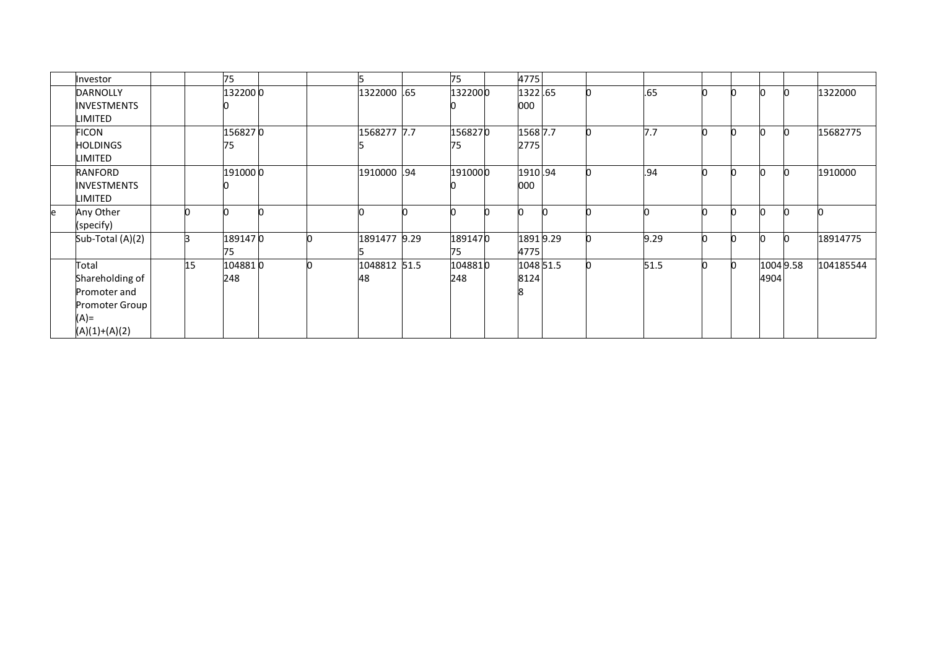|   | Investor           |    | 75      |  |              | 75      | 4775      |  |      |              |           |           |
|---|--------------------|----|---------|--|--------------|---------|-----------|--|------|--------------|-----------|-----------|
|   | <b>DARNOLLY</b>    |    | 1322000 |  | 1322000 .65  | 1322000 | 1322.65   |  | .65  | <b>n</b>     |           | 1322000   |
|   | <b>INVESTMENTS</b> |    |         |  |              |         | 000       |  |      |              |           |           |
|   | LIMITED            |    |         |  |              |         |           |  |      |              |           |           |
|   | FICON              |    | 1568270 |  | 1568277 7.7  | 1568270 | 1568 7.7  |  | 7.7  |              |           | 15682775  |
|   | <b>HOLDINGS</b>    |    | 75      |  |              | 75      | 2775      |  |      |              |           |           |
|   | LIMITED            |    |         |  |              |         |           |  |      |              |           |           |
|   | RANFORD            |    | 1910000 |  | 1910000 .94  | 1910000 | 1910.94   |  | .94  |              |           | 1910000   |
|   | <b>INVESTMENTS</b> |    |         |  |              |         | 000       |  |      |              |           |           |
|   | LIMITED            |    |         |  |              |         |           |  |      |              |           |           |
| e | Any Other          |    |         |  |              |         |           |  |      |              |           |           |
|   | (specify)          |    |         |  |              |         |           |  |      |              |           |           |
|   | Sub-Total (A)(2)   | R  | 1891470 |  | 1891477 9.29 | 1891470 | 18919.29  |  | 9.29 |              |           | 18914775  |
|   |                    |    | 75      |  |              | 75      | 4775      |  |      |              |           |           |
|   | Total              | 15 | 1048810 |  | 1048812 51.5 | 1048810 | 1048 51.5 |  | 51.5 | <sup>0</sup> | 1004 9.58 | 104185544 |
|   | Shareholding of    |    | 248     |  | 48           | 248     | 8124      |  |      |              | 4904      |           |
|   | Promoter and       |    |         |  |              |         |           |  |      |              |           |           |
|   | Promoter Group     |    |         |  |              |         |           |  |      |              |           |           |
|   | $(A)$ =            |    |         |  |              |         |           |  |      |              |           |           |
|   | $(A)(1)+(A)(2)$    |    |         |  |              |         |           |  |      |              |           |           |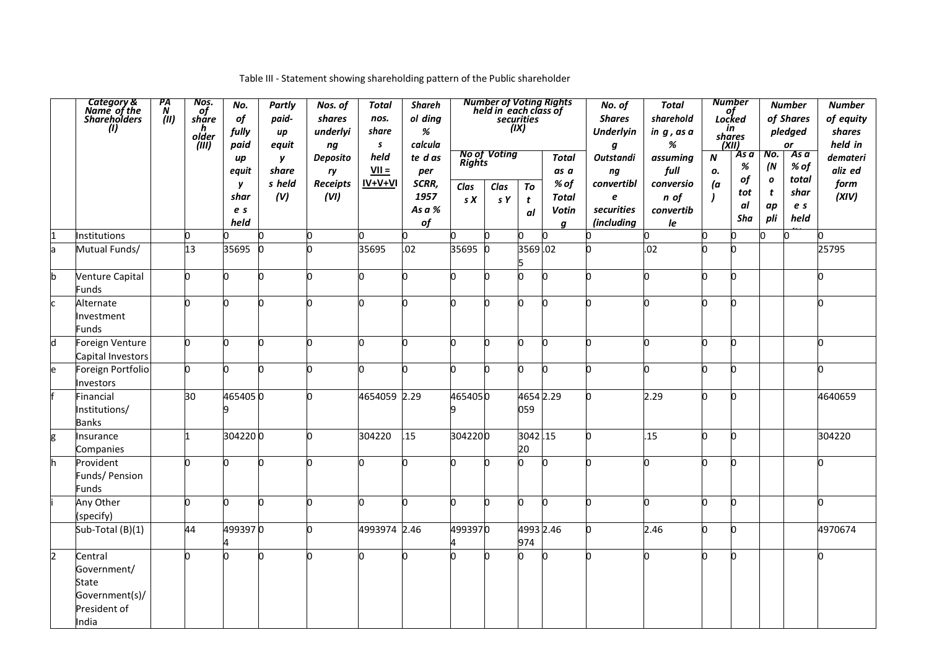|   | Category &<br>Name of the<br>Shareholders<br>(I)                                  | PA<br>N<br>(III) | Nos.<br>of<br>share<br>h<br>older<br>(iii) | No.<br>of<br>fully<br>paid | Partly<br>paid-<br>иp<br>equit | Nos. of<br>shares<br>underlyi<br>ng | Total<br>nos.<br>share<br>$\mathbf{s}$ | <b>Shareh</b><br>ol ding<br>%<br>calcula | Number of Voting Rights<br>held in each class of<br>securities<br>(ix)<br><b>No of Voting</b><br>te d as<br><b>Total</b> |             |               |                | No. of<br><b>Shares</b><br><b>Underlyin</b><br>g   | <b>Total</b><br>sharehold<br>in $g$ , as a<br>% | <b>Number</b><br>of<br>Locked<br>in<br>shares<br>(XII)<br>As a<br>$\boldsymbol{N}$ |           |                                | <b>Number</b><br>of Shares<br>pledged<br>or<br>As a | <b>Number</b><br>of equity<br>shares<br>held in |
|---|-----------------------------------------------------------------------------------|------------------|--------------------------------------------|----------------------------|--------------------------------|-------------------------------------|----------------------------------------|------------------------------------------|--------------------------------------------------------------------------------------------------------------------------|-------------|---------------|----------------|----------------------------------------------------|-------------------------------------------------|------------------------------------------------------------------------------------|-----------|--------------------------------|-----------------------------------------------------|-------------------------------------------------|
|   |                                                                                   |                  |                                            | иp<br>equit                | y<br>share<br>s held           | Deposito<br>ry<br><b>Receipts</b>   | held<br>$VII =$<br>$IV+V+VI$           | per<br>SCRR,                             | <b>Rights</b>                                                                                                            |             |               | as a<br>$%$ of | <b>Outstandi</b><br>$\boldsymbol{n}\boldsymbol{g}$ | assuming<br>full                                | ο.                                                                                 | %<br>of   | No.<br>(N)<br>$\boldsymbol{o}$ | % of<br>total                                       | demateri<br>aliz ed                             |
|   |                                                                                   |                  |                                            | y<br>shar                  | (V)                            | (VI)                                |                                        | 1957                                     | Clas<br>S X                                                                                                              | Clas<br>s Y | To<br>t       | Total          | convertibl<br>e                                    | conversio<br>n of                               | (a                                                                                 | tot       | t                              | shar                                                | form<br>(XIV)                                   |
|   |                                                                                   |                  |                                            | e s                        |                                |                                     |                                        | As a $\%$                                |                                                                                                                          |             | al            | <b>Votin</b>   | securities                                         | convertib                                       |                                                                                    | al<br>Sha | ap<br>pli                      | e s<br>held                                         |                                                 |
|   |                                                                                   |                  | n                                          | held                       |                                |                                     |                                        | of<br>n                                  |                                                                                                                          |             |               | q              | (including                                         | le                                              |                                                                                    | n         |                                | n                                                   |                                                 |
|   | Institutions                                                                      |                  | 13                                         |                            | 0                              |                                     |                                        |                                          | 35695                                                                                                                    |             | 3569.02       |                |                                                    |                                                 |                                                                                    | 0         |                                |                                                     |                                                 |
|   | Mutual Funds/                                                                     |                  |                                            | 35695                      | O                              |                                     | 35695                                  | .02                                      |                                                                                                                          |             |               |                |                                                    | .02                                             |                                                                                    |           |                                |                                                     | 25795                                           |
|   | Venture Capital<br>Funds                                                          |                  | h                                          |                            | n                              |                                     |                                        |                                          | h                                                                                                                        |             |               |                |                                                    |                                                 |                                                                                    | n         |                                |                                                     |                                                 |
|   | Alternate<br>Investment<br>Funds                                                  |                  | h                                          | n.                         | h                              |                                     |                                        | n                                        | h                                                                                                                        |             |               | n              |                                                    |                                                 |                                                                                    | n.        |                                |                                                     | U                                               |
| h | Foreign Venture<br>Capital Investors                                              |                  | n.                                         | n                          | l0                             | n                                   |                                        | n                                        | h                                                                                                                        |             | n             | n              | n                                                  |                                                 |                                                                                    | 0         |                                |                                                     |                                                 |
|   | Foreign Portfolio<br>Investors                                                    |                  | l0                                         | n                          | l0                             | n                                   |                                        | n                                        | b                                                                                                                        |             | n             | 'n             |                                                    |                                                 |                                                                                    | O.        |                                |                                                     | n                                               |
|   | Financial<br>Institutions/<br>Banks                                               |                  | 30                                         | 4654050                    |                                | n                                   | 4654059 2.29                           |                                          | 4654050<br>9                                                                                                             |             | 059           | 4654 2.29      | n                                                  | 2.29                                            | n                                                                                  | b.        |                                |                                                     | 4640659                                         |
|   | Insurance<br>Companies                                                            |                  | 1                                          | 3042200                    |                                |                                     | 304220                                 | .15                                      | 3042200                                                                                                                  |             | 3042.15<br>20 |                |                                                    | .15                                             |                                                                                    | O.        |                                |                                                     | 304220                                          |
|   | Provident<br>Funds/ Pension<br>Funds                                              |                  | h                                          |                            | N                              |                                     |                                        |                                          | n                                                                                                                        |             |               | n              | h                                                  |                                                 |                                                                                    | O         |                                |                                                     |                                                 |
|   | Any Other<br>(specify)                                                            |                  | h                                          |                            | h                              | n                                   |                                        |                                          | h                                                                                                                        |             | n             | n              |                                                    |                                                 |                                                                                    | 0         |                                |                                                     |                                                 |
|   | Sub-Total (B)(1)                                                                  |                  | 44                                         | 4993970                    |                                | n                                   | 4993974 2.46                           |                                          | 4993970                                                                                                                  |             | 974           | 4993 2.46      |                                                    | 2.46                                            | n                                                                                  | b.        |                                |                                                     | 4970674                                         |
|   | Central<br>Government/<br><b>State</b><br>Government(s)/<br>President of<br>India |                  | n                                          |                            | h                              |                                     |                                        |                                          | h                                                                                                                        |             |               | n              |                                                    |                                                 |                                                                                    | h         |                                |                                                     |                                                 |

## Table III - Statement showing shareholding pattern of the Public shareholder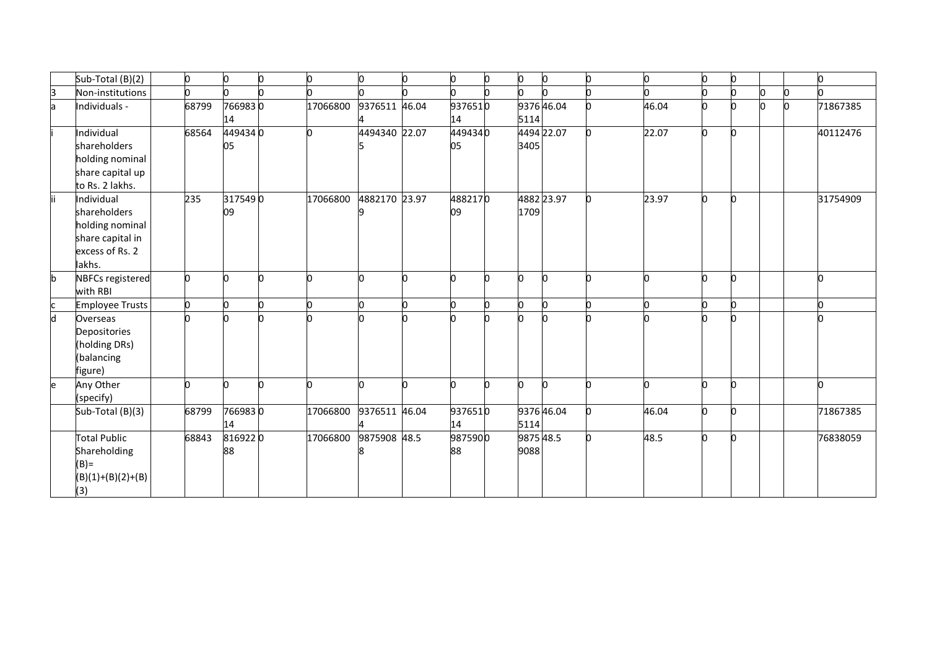|              | Sub-Total (B)(2)                                                                               | l0    | n             | l0 | 0        |               | l0 | 0             | n | O                 | O.         | n     | 0  |   |   | n        |
|--------------|------------------------------------------------------------------------------------------------|-------|---------------|----|----------|---------------|----|---------------|---|-------------------|------------|-------|----|---|---|----------|
| 3            | Non-institutions                                                                               |       |               |    |          |               |    |               |   |                   |            |       | n  |   | O |          |
| a            | Individuals -                                                                                  | 68799 | 7669830<br>14 |    | 17066800 | 9376511 46.04 |    | 9376510<br>14 |   | 5114              | 9376 46.04 | 46.04 | n  | U | n | 71867385 |
|              | Individual<br>shareholders<br>holding nominal<br>share capital up<br>to Rs. 2 lakhs.           | 68564 | 4494340<br>05 |    |          | 4494340 22.07 |    | 4494340<br>05 |   | 3405              | 4494 22.07 | 22.07 | 0  |   |   | 40112476 |
| lii.         | Individual<br>shareholders<br>holding nominal<br>share capital in<br>excess of Rs. 2<br>lakhs. | 235   | 3175490<br>09 |    | 17066800 | 4882170 23.97 |    | 4882170<br>09 |   | 1709              | 4882 23.97 | 23.97 | Ю  |   |   | 31754909 |
| $\mathsf{b}$ | NBFCs registered<br>with RBI                                                                   | n     |               |    |          |               |    |               | n | n                 | n          |       | O. |   |   |          |
|              | Employee Trusts                                                                                | n     |               |    |          |               |    |               |   | n                 | n          |       | O. |   |   |          |
| d            | Overseas<br>Depositories<br>(holding DRs)<br>(balancing<br>figure)                             |       |               |    |          |               |    |               |   |                   |            |       | O  |   |   |          |
| e            | Any Other<br>(specify)                                                                         |       |               |    |          |               |    |               |   | n                 | n          |       | n. |   |   |          |
|              | Sub-Total (B)(3)                                                                               | 68799 | 7669830<br>14 |    | 17066800 | 9376511 46.04 |    | 9376510<br>14 |   | 5114              | 9376 46.04 | 46.04 | Ю  |   |   | 71867385 |
|              | <b>Total Public</b><br>Shareholding<br>$(B) =$<br>$(B)(1)+(B)(2)+(B)$<br>(3)                   | 68843 | 8169220<br>88 |    | 17066800 | 9875908 48.5  |    | 9875900<br>88 |   | 9875 48.5<br>9088 |            | 48.5  | O. |   |   | 76838059 |